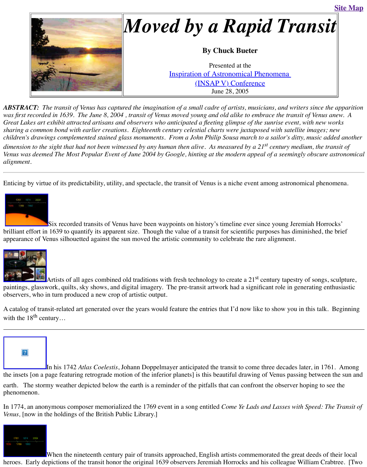*children's drawings complemented stained glass monuments. From a John Philip Sousa march to a sailor's ditty, music added another dimension to the sight that had not been witnessed by any human then alive. As measured by d Venus was deemed The Most Popular Event of June 2004 by Google, hinting at the modern ap alignment.*

Enticing by virtue of its predictability, utility, and spectacle, the transit of Venus is a niche even



Six recorded transits of Venus have been waypoints on history's timeline ever brilliant effort in 1639 to quantify its apparent size. Though the value of a transit for scientific appearance of Venus silhouetted against the sun moved the artistic community to celebrate the



Artists of all ages combined old traditions with fresh technology to create a 21 paintings, glasswork, quilts, sky shows, and digital imagery. The pre-transit artwork had a significant role i observers, who in turn produced a new crop of artistic output.

A catalog of transit-related art generated over the years would feature the entries that I'd now l with the  $18^{th}$  century...



[I](http://old.transitofvenus.org/drafts/insap_2.jpg)n his 1742 *Atlas Coelestis*, Johann Doppelmayer anticipated the transit to con the insets [on a page featuring retrograde motion of the inferior planets] is this beautiful drawing earth. The stormy weather depicted below the earth is a reminder of the pitfalls that can confront phenomenon.

[In 1774, an anon](http://old.transitofvenus.org/drafts/insap_4.jpg)ymous composer memorialized the 1769 event in a song entitled *Come Ye Lad Venus,* [now in the holdings of the British Public Library.]



When the nineteenth century pair of transits approached, English artists comm heroes. Early depictions of the transit honor the original 1639 observers Jeremiah Horrocks and his collections of the transit honor the original 1639 observers Jeremiah Horrocks and  $\mu$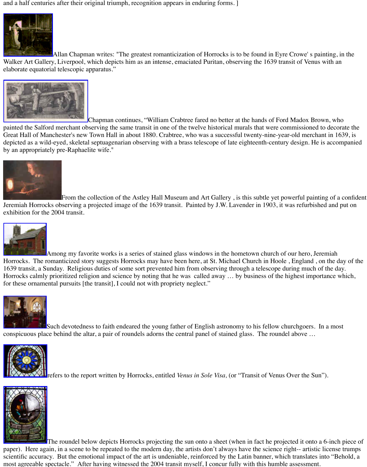Great Hall of Manchester's new Town Hall in about 1880. Crabtree, who was a successful twenty-nine-year-old merchant in 1639, is who was a successful twenty-nine-year-old merchant in 1639, is when  $\ell$ depicted as a wild-eyed, skeletal septuagenarian observing with a brass telescope of late eighte [by an appropriately](http://www.uclan.ac.uk/facs/science/physastr/misc/horrock.htm) pre-Raphaelite wife."



From the collection of the Astley Hall Museum and Art Gallery, is this st Jeremiah Horrocks observing a projected image of the 1639 transit. Painted by J.W. Lavender exhibition for the 2004 transit.



Among my favorite works is a series of stained glass windows in the hometown [Horrocks. The romanticized sto](http://old.transitofvenus.org/crabtree-med.jpg)ry suggests Horrocks may have been here, at St. Michael Church in Horn in Horn in Horn in Horn in Horn in Horn in Horn in Horn in Horn in Horn in Horn in Horn in Horn in Horn in Horn in Horn i 1639 transit, a Sunday. Religious duties of some sort prevented him from observing through a Horrocks calmly prioritized religion and science by noting that he was called away ... by busi for these ornamental pursuits [the transit], I could not with propriety neglect."



Such devotedness to faith endeared the young father of English astronomy to l [conspicuous place beh](http://www.transit-of-venus.org.uk/conference/history.html)ind the altar, a pair of roundels adorns the central panel of stained glass.



**Therefers to the report written by Horrocks, entitled** *Venus in Sole Visa***, (or "Transt** 



The roundel below depicts Horrocks projecting the sun onto a sheet (when in paper). Here again, in a scene to be repeated to the modern day, the artists don't always have t scientific accuracy. But the emotional impact of the art is undeniable, reinforced by the Latin  $\mathsf{I}$ [most agreeable s](http://old.transitofvenus.org/INSAP%20V/hoole01655.JPG)pectacle." After having witnessed the 2004 transit myself, I concur fully with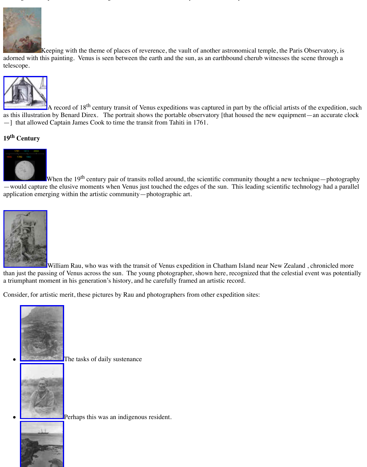## **19th Century**



When the  $19<sup>th</sup>$  century pair of transits rolled around, the scientific community [—would captu](http://www.bdl.fr/Granpub/Promenade/pages6/608.html)re the elusive moments when Venus just touched the edges of the sun. This lead application emerging within the artistic community—photographic art.



William Rau, who was with the transit of Venus expedition in Chatham Island than just the passing of Venus across the sun. The young photographer, shown here, recognize a triumphant moment in his generation's history, and he carefully framed an artistic record.

[Consider, for art](http://old.transitofvenus.org/INSAP%20V/insap_8.gif)istic merit, these pictures by Rau and photographers from other expedition site



The tasks of daily sustenance



Perhaps this was an indigenous resident.

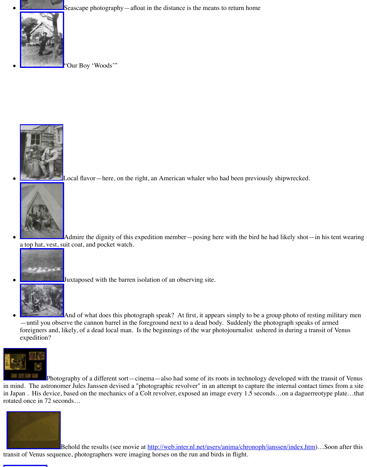

[L](http://old.transitofvenus.org/usno-boy-med.jpg)ocal flavor—here, on the right, an American whaler who had been pre



Admire the dignity of this expedition member—posing here with the bi a top hat, vest, suit coat, and pocket watch.



Juxtaposed with the barren isolation of an observing site.



And of what does this photograph speak? At first, it appears simply to be a group of  $\alpha$ [—until you obse](http://old.transitofvenus.org/usno-bird01421.jpg)rve the cannon barrel in the foreground next to a dead body. Suddenly the photograph speaks of arm foreigners and, likely, of a dead local man. Is the beginnings of the war photojournalist expedition?



Photography of a different sort—cinema—also had some of its roots in techno in mind. The astronomer Jules Janssen devised a "photographic revolver" in an attempt to cap in Japan . His device, based on the mechanics of a Colt revolver, exposed an image every 1.5 rotate[d once in 72 seco](http://old.transitofvenus.org/usno-patagonia01405.jpg)nds…



Behold the results (see movie at http://web.inter.nl.net/users/anima/chronophylanssen/index.html transit [of Venus sequen](http://old.transitofvenus.org/usno-macabre01412.jpg)ce, photographers were imaging horses on the run and birds in flight.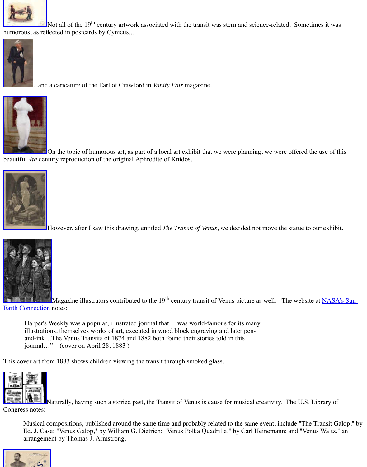

On the topic of humorous art, as part of a local art exhibit that we were planning. [beautiful](http://old.transitofvenus.org/postcard-cynicus.jpg) *4th* century reproduction of the original Aphrodite of Knidos.



However, after I saw this drawing, entitled *The Transit of Venus*, we decided r



Magazine illustrators contributed to the 19<sup>th</sup> century transit of Venus picture **Earth Connection** notes:

Harper's Weekly was a popular, illustrated journal that ...was world-famous for its ma illustrations, themselves works of art, executed in wood block engraving and later penand-ink…The Venus Transits of 1874 and 1882 both found their stories told in this journal…" (cover on April 28, 1883 )

[This cover art fro](http://old.transitofvenus.org/statue_print.jpg)m 1883 shows children viewing the transit through smoked glass.



Naturally, having such a storied past, the Transit of Venus is cause for musical [Congress notes:](http://sunearth.gsfc.nasa.gov/sunearthday/2004/vtbackart.htm)

Musical compositions, published around the same time and probably related to the same Ed. J. Case; "Venus Galop," by William G. Dietrich; "Venus Polka Quadrille," by Carl [arrangement by Thomas J. Armstrong.](http://sunearth.gsfc.nasa.gov/sunearthday/2004/vt_stu2004_venus_back.htm)

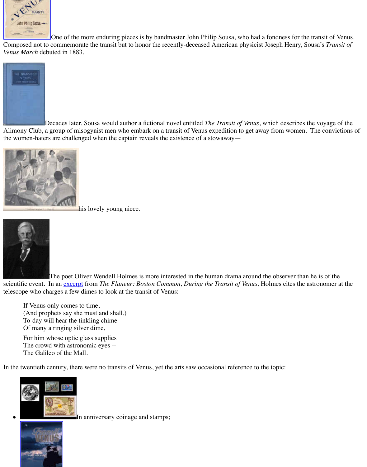[the women-haters](http://lcweb2.loc.gov/cocoon/ihas/loc.natlib.ihas.100010997/enlarge.html?page=1§ion=&size=1024&from=pageturner) are challenged when the captain reveals the existence of a stowaway—



his lovely young niece.



The poet Oliver Wendell Holmes is more interested in the human drama around the observer the observer than  $h$ scientific event. In an excerpt from *The Flaneur: Boston Common, During the Transit of Venu* telescope who charges a few dimes to look at the transit of Venus:

If Venus only comes to time, (And prophets say she must and shall,) To-day will hear the tinkling chime Of many a ringing silver dime,

For him whose optic glass supplies The crowd with astronomic eyes -- The Galileo of the Mall.

In the twentieth century, there were no transits of Venus, yet the arts saw occasional reference



[In](http://sunearth.gsfc.nasa.gov/sunearthday/2004/vt_edu2004_venus_back_poe.htm) anniversary coinage and stamps;

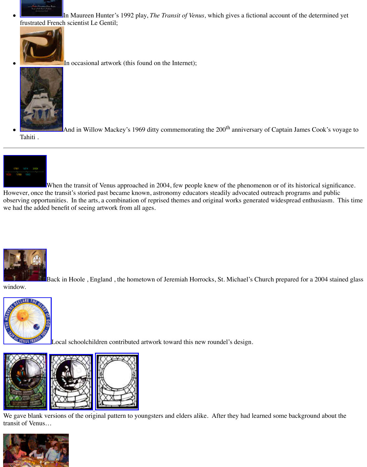

When the transit of Venus approached in 2004, few people knew of the phenon Howe[ver, once the tran](http://www.art-network.co.uk/banca/stern/transitofv.html)sit's storied past became known, astronomy educators steadily advocated programs and publications at  $P$ observing opportunities. In the arts, a combination of reprised themes and original works gene we ha[d the added bene](http://old.transitofvenus.org/INSAP%20V/insap_15.jpg)fit of seeing artwork from all ages.



Back in Hoole, England, the hometown of Jeremiah Horrocks, St. Michael's

window.



Local schoolchildren contributed artwork toward this new roundel's design.



 $\vert$ [We gave blank v](http://old.transitofvenus.org/INSAP%20V/hoole01655.JPG)ersions of the original pattern to youngsters and elders alike. After they had learned transit of Venus…

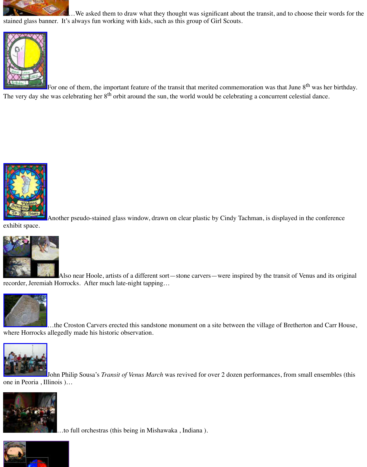

Another pseudo-stained glass window, drawn on clear plastic by Cindy Tachn

[exhibit space.](http://old.transitofvenus.org/pix/jessica.jpg)



Also near Hoole, artists of a different sort—stone carvers—were inspired recorder, Jeremiah Horrocks. After much late-night tapping…



…the Croston Carvers erected this sandstone monument on a site between the [where Horrocks](http://old.transitofvenus.org/window-tachman.jpg) allegedly made his historic observation.



John Philip Sousa's *Transit of Venus March* was revived for over 2 dozen perf [one in Peoria , Illinoi](http://old.transitofvenus.org/monument.htm)s )…





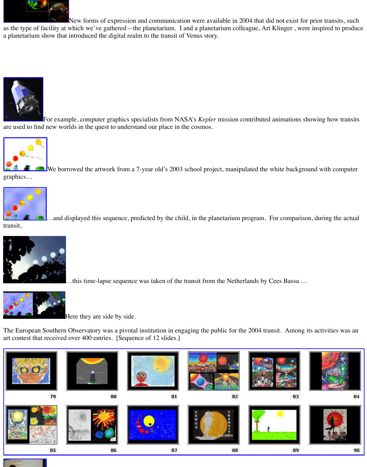

We borrowed the artwork from a 7-year old's 2003 school project, manipulate

graphics…



.and displayed this sequence, predicted by the child, in the planetarium prog

[transit,](http://www.kepler.arc.nasa.gov/downloading.html)



.this time-lapse sequence was taken of the transit from the Netherland



Here they are side by side.

[The European So](http://old.transitofvenus.org/INSAP%20V/sarah200.jpg)uthern Observatory was a pivotal institution in engaging the public for the 20 art contest that received over 400 entries. [Sequence of 12 slides.]



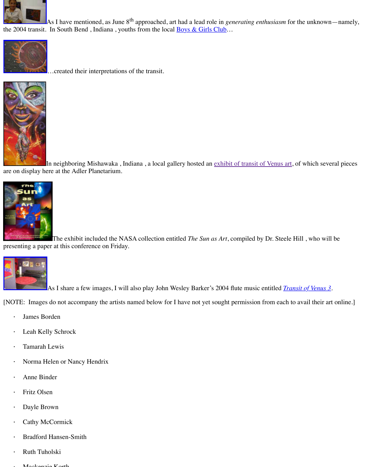

[I](http://old.transitofvenus.org/INSAP%20V/insap_24.jpg)n neighboring Mishawaka , Indiana , a local gal[lery hosted an exhib](http://old.transitofvenus.org/club.htm)it of trans are on display here at the Adler Planetarium.



The exhibit included the NASA collection entitled *The Sun as Art*, compiled presenting a paper at this conference on Friday.



As I share a few images, I will also play John Wesley Barker's 2004 flute must

[NOTE: Images do not accompany the artists named below for I have not yet sought permission

- · James Borden
- [Leah Kelly](http://soho.nascom.nasa.gov/pickoftheweek/old/SunAsArt/Artcover_web03.jpg) Schrock
- · Tamarah Lewis
- Norma Helen or Nancy Hendrix
- · Anne Binder
- Fritz Olsen
- [Dayle Bro](http://old.transitofvenus.org/gallery/rug02613.jpg)wn
- Cathy McCormick
- **Bradford Hansen-Smith**
- · Ruth Tuholski
- Mograpic Korth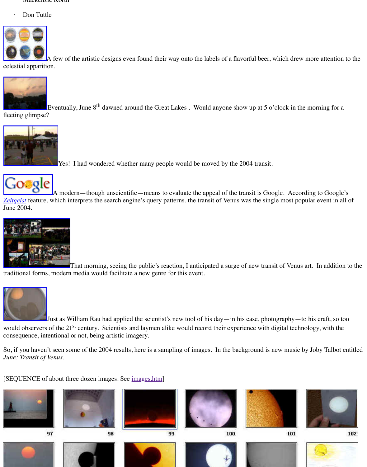

**Yes!** I had wondered whether many people would be moved by the 2004



A modern—though unscientific—means to evaluate the appeal of the transity [Zeitgeist](http://old.transitofvenus.org/beer-labels-med.jpg) feature, which interprets the search engine's query patterns, the transit of Venus was t June 2004.



That morning, seeing the public's reaction, I anticipated a surge of ne [traditional forms, mo](http://old.transitofvenus.org/june8.htm)dern media would facilitate a new genre for this event.



Just as William Rau had applied the scientist's new tool of his day—in his case, photography[would observers of](http://old.transitofvenus.org/google.gif) the 21<sup>st</sup> century. Scientists and laymen alike would record their experience [conseque](http://www.google.com/press/zeitgeist/zeitgeist-jun04.html)nce, intentional or not, being artistic imagery.

So, if you haven't seen some of the 2004 results, here is a sampling of images. In the background states by  $S_1$ *June: Transit of Venus*.

[\[SEQUENCE of about th](http://old.transitofvenus.org/june8.htm)ree dozen images. See images.htm]













100







99